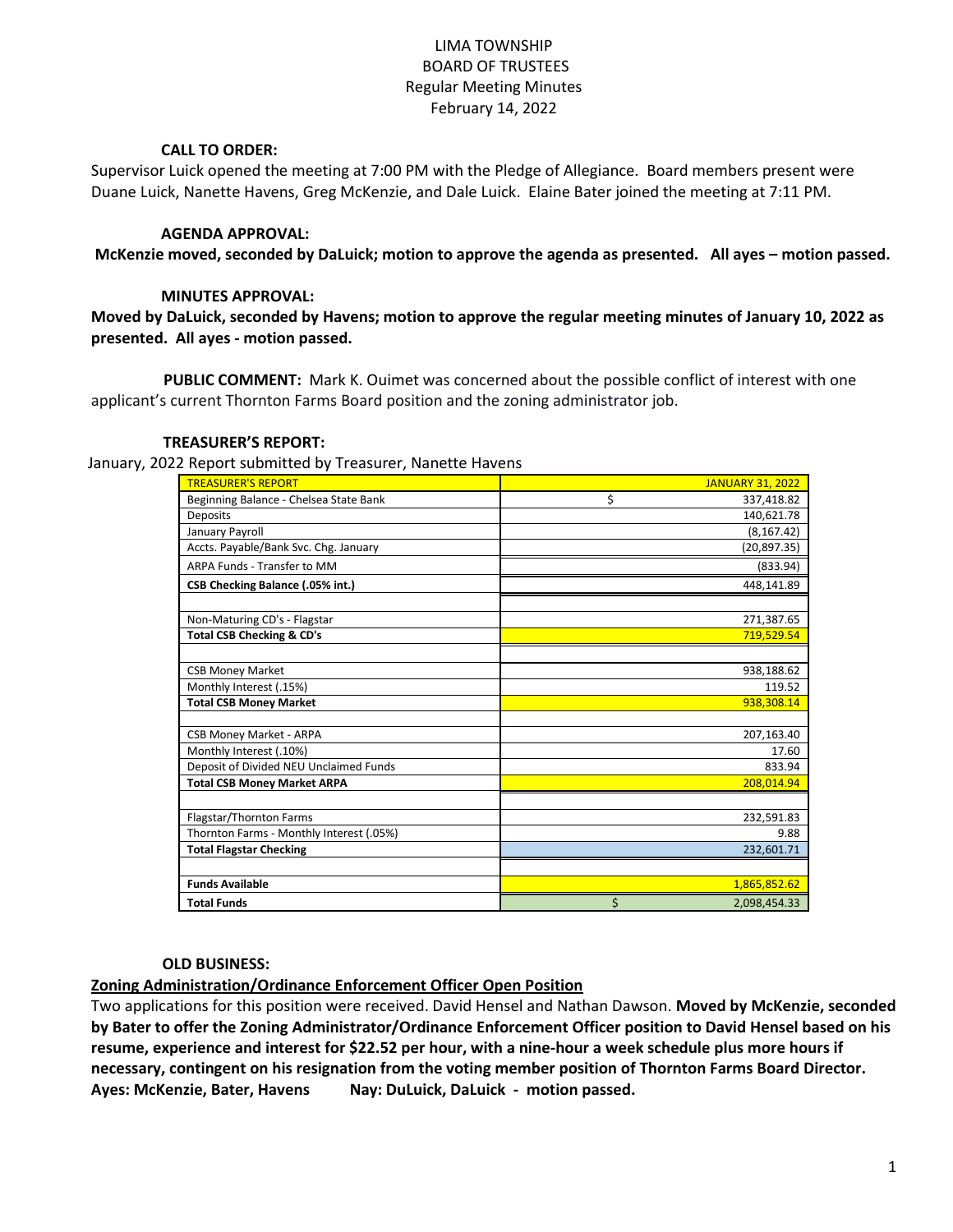# LIMA TOWNSHIP BOARD OF TRUSTEES Regular Meeting Minutes February 14, 2022

### **CALL TO ORDER:**

Supervisor Luick opened the meeting at 7:00 PM with the Pledge of Allegiance. Board members present were Duane Luick, Nanette Havens, Greg McKenzie, and Dale Luick. Elaine Bater joined the meeting at 7:11 PM.

### **AGENDA APPROVAL:**

**McKenzie moved, seconded by DaLuick; motion to approve the agenda as presented. All ayes – motion passed.**

### **MINUTES APPROVAL:**

**Moved by DaLuick, seconded by Havens; motion to approve the regular meeting minutes of January 10, 2022 as presented. All ayes - motion passed.**

 **PUBLIC COMMENT:** Mark K. Ouimet was concerned about the possible conflict of interest with one applicant's current Thornton Farms Board position and the zoning administrator job.

#### **TREASURER'S REPORT:**

January, 2022 Report submitted by Treasurer, Nanette Havens

| report submitted by measurer, numette nuveris |                         |
|-----------------------------------------------|-------------------------|
| <b>TREASURER'S REPORT</b>                     | <b>JANUARY 31, 2022</b> |
| Beginning Balance - Chelsea State Bank        | \$<br>337,418.82        |
| <b>Deposits</b>                               | 140,621.78              |
| January Payroll                               | (8, 167.42)             |
| Accts. Payable/Bank Svc. Chg. January         | (20, 897.35)            |
| ARPA Funds - Transfer to MM                   | (833.94)                |
| CSB Checking Balance (.05% int.)              | 448,141.89              |
|                                               |                         |
| Non-Maturing CD's - Flagstar                  | 271,387.65              |
| <b>Total CSB Checking &amp; CD's</b>          | 719,529.54              |
|                                               |                         |
| <b>CSB Money Market</b>                       | 938,188.62              |
| Monthly Interest (.15%)                       | 119.52                  |
| <b>Total CSB Money Market</b>                 | 938,308.14              |
|                                               |                         |
| <b>CSB Money Market - ARPA</b>                | 207,163.40              |
| Monthly Interest (.10%)                       | 17.60                   |
| Deposit of Divided NEU Unclaimed Funds        | 833.94                  |
| <b>Total CSB Money Market ARPA</b>            | 208,014.94              |
|                                               |                         |
| Flagstar/Thornton Farms                       | 232,591.83              |
| Thornton Farms - Monthly Interest (.05%)      | 9.88                    |
| <b>Total Flagstar Checking</b>                | 232,601.71              |
|                                               |                         |
| <b>Funds Available</b>                        | 1,865,852.62            |
| <b>Total Funds</b>                            | \$<br>2,098,454.33      |

#### **OLD BUSINESS:**

**Zoning Administration/Ordinance Enforcement Officer Open Position**

Two applications for this position were received. David Hensel and Nathan Dawson. **Moved by McKenzie, seconded by Bater to offer the Zoning Administrator/Ordinance Enforcement Officer position to David Hensel based on his resume, experience and interest for \$22.52 per hour, with a nine-hour a week schedule plus more hours if necessary, contingent on his resignation from the voting member position of Thornton Farms Board Director. Ayes: McKenzie, Bater, Havens Nay: DuLuick, DaLuick - motion passed.**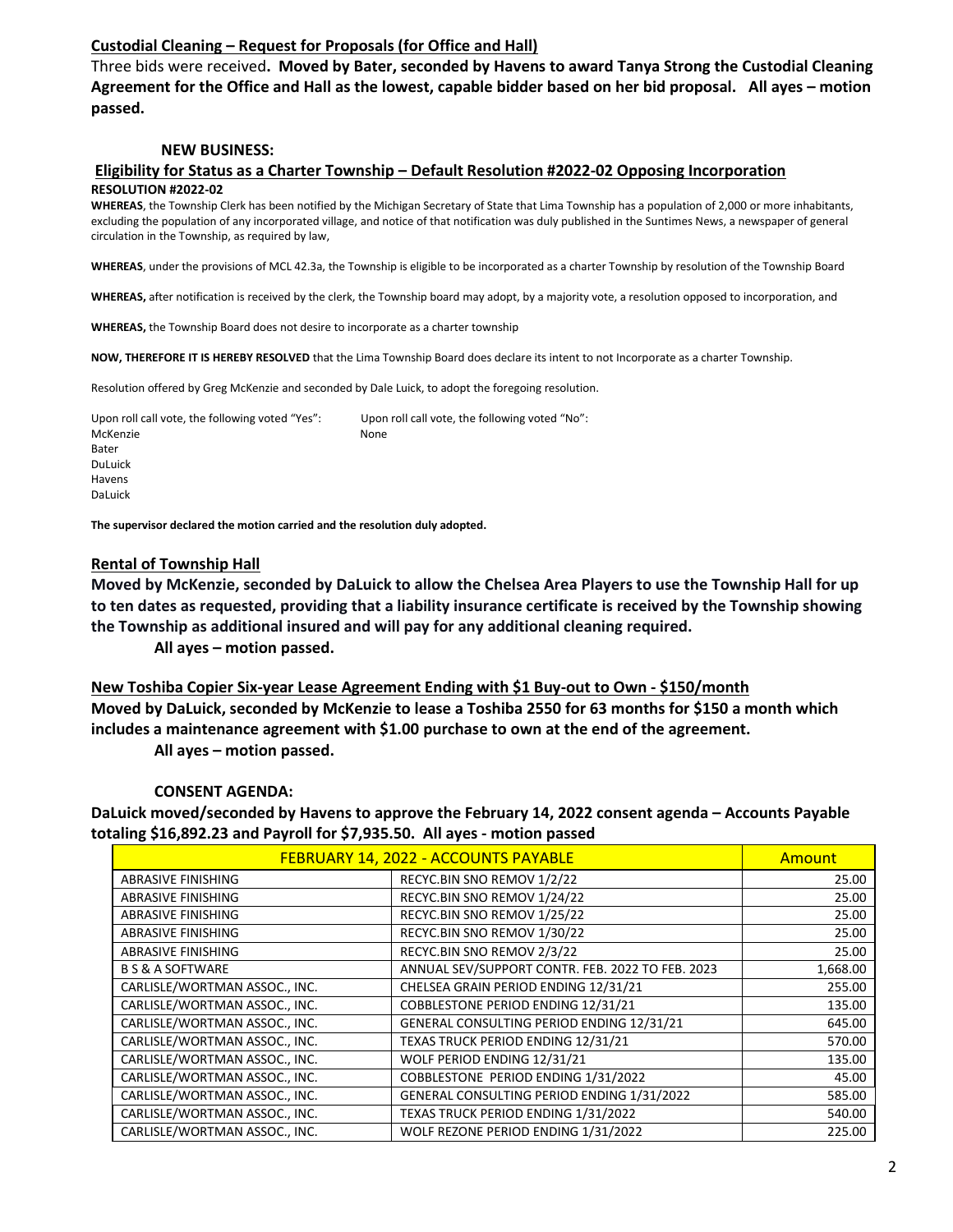# **Custodial Cleaning – Request for Proposals (for Office and Hall)**

Three bids were received**. Moved by Bater, seconded by Havens to award Tanya Strong the Custodial Cleaning Agreement for the Office and Hall as the lowest, capable bidder based on her bid proposal. All ayes – motion passed.**

### **NEW BUSINESS:**

#### **Eligibility for Status as a Charter Township – Default Resolution #2022-02 Opposing Incorporation RESOLUTION #2022-02**

**WHEREAS**, the Township Clerk has been notified by the Michigan Secretary of State that Lima Township has a population of 2,000 or more inhabitants, excluding the population of any incorporated village, and notice of that notification was duly published in the Suntimes News, a newspaper of general circulation in the Township, as required by law,

**WHEREAS**, under the provisions of MCL 42.3a, the Township is eligible to be incorporated as a charter Township by resolution of the Township Board

**WHEREAS,** after notification is received by the clerk, the Township board may adopt, by a majority vote, a resolution opposed to incorporation, and

**WHEREAS,** the Township Board does not desire to incorporate as a charter township

**NOW, THEREFORE IT IS HEREBY RESOLVED** that the Lima Township Board does declare its intent to not Incorporate as a charter Township.

Resolution offered by Greg McKenzie and seconded by Dale Luick, to adopt the foregoing resolution.

Upon roll call vote, the following voted "Yes": Upon roll call vote, the following voted "No": McKenzie None Bater DuLuick Havens DaLuick

**The supervisor declared the motion carried and the resolution duly adopted.**

#### **Rental of Township Hall**

**Moved by McKenzie, seconded by DaLuick to allow the Chelsea Area Players to use the Township Hall for up to ten dates as requested, providing that a liability insurance certificate is received by the Township showing the Township as additional insured and will pay for any additional cleaning required.**

**All ayes – motion passed.**

**New Toshiba Copier Six-year Lease Agreement Ending with \$1 Buy-out to Own - \$150/month Moved by DaLuick, seconded by McKenzie to lease a Toshiba 2550 for 63 months for \$150 a month which includes a maintenance agreement with \$1.00 purchase to own at the end of the agreement.**

**All ayes – motion passed.**

#### **CONSENT AGENDA:**

**DaLuick moved/seconded by Havens to approve the February 14, 2022 consent agenda – Accounts Payable totaling \$16,892.23 and Payroll for \$7,935.50. All ayes - motion passed**

| FEBRUARY 14, 2022 - ACCOUNTS PAYABLE |                                                  | Amount   |
|--------------------------------------|--------------------------------------------------|----------|
| <b>ABRASIVE FINISHING</b>            | RECYC.BIN SNO REMOV 1/2/22                       | 25.00    |
| ABRASIVE FINISHING                   | RECYC.BIN SNO REMOV 1/24/22                      | 25.00    |
| <b>ABRASIVE FINISHING</b>            | RECYC.BIN SNO REMOV 1/25/22                      | 25.00    |
| <b>ABRASIVE FINISHING</b>            | RECYC.BIN SNO REMOV 1/30/22                      | 25.00    |
| <b>ABRASIVE FINISHING</b>            | RECYC.BIN SNO REMOV 2/3/22                       | 25.00    |
| <b>B S &amp; A SOFTWARE</b>          | ANNUAL SEV/SUPPORT CONTR. FEB. 2022 TO FEB. 2023 | 1,668.00 |
| CARLISLE/WORTMAN ASSOC., INC.        | CHELSEA GRAIN PERIOD ENDING 12/31/21             | 255.00   |
| CARLISLE/WORTMAN ASSOC., INC.        | COBBLESTONE PERIOD ENDING 12/31/21               | 135.00   |
| CARLISLE/WORTMAN ASSOC., INC.        | GENERAL CONSULTING PERIOD ENDING 12/31/21        | 645.00   |
| CARLISLE/WORTMAN ASSOC., INC.        | TEXAS TRUCK PERIOD ENDING 12/31/21               | 570.00   |
| CARLISLE/WORTMAN ASSOC., INC.        | WOLF PERIOD ENDING 12/31/21                      | 135.00   |
| CARLISLE/WORTMAN ASSOC., INC.        | COBBLESTONE PERIOD ENDING 1/31/2022              | 45.00    |
| CARLISLE/WORTMAN ASSOC., INC.        | GENERAL CONSULTING PERIOD ENDING 1/31/2022       | 585.00   |
| CARLISLE/WORTMAN ASSOC., INC.        | TEXAS TRUCK PERIOD ENDING 1/31/2022              | 540.00   |
| CARLISLE/WORTMAN ASSOC., INC.        | WOLF REZONE PERIOD ENDING 1/31/2022              | 225.00   |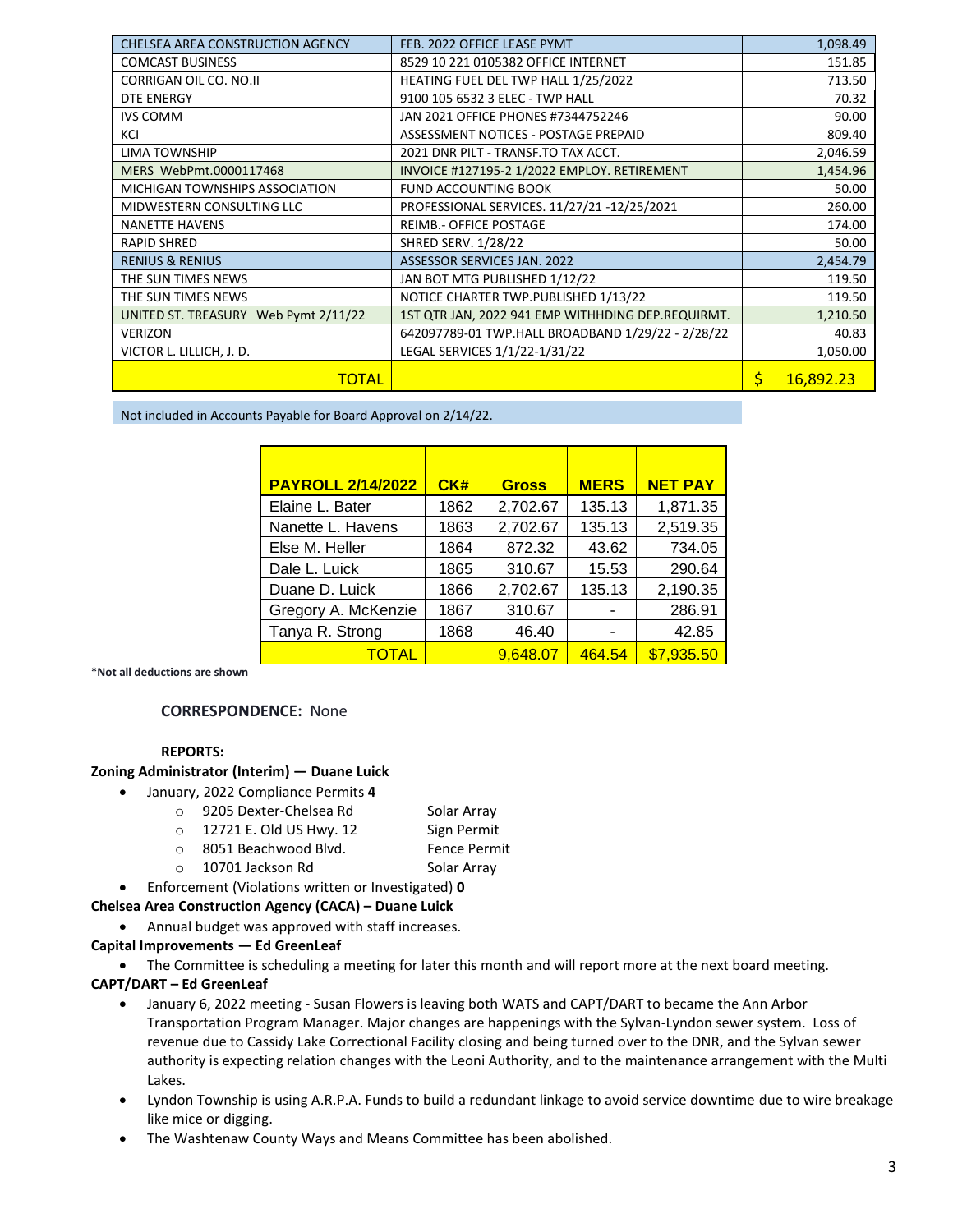| CHELSEA AREA CONSTRUCTION AGENCY      | FEB. 2022 OFFICE LEASE PYMT<br>1,098.49           |          |           |
|---------------------------------------|---------------------------------------------------|----------|-----------|
| <b>COMCAST BUSINESS</b>               | 8529 10 221 0105382 OFFICE INTERNET               |          | 151.85    |
| CORRIGAN OIL CO. NO.II                | HEATING FUEL DEL TWP HALL 1/25/2022               |          | 713.50    |
| DTE ENERGY                            | 9100 105 6532 3 ELEC - TWP HALL                   |          | 70.32     |
| <b>IVS COMM</b>                       | JAN 2021 OFFICE PHONES #7344752246                |          | 90.00     |
| KCI                                   | ASSESSMENT NOTICES - POSTAGE PREPAID              |          | 809.40    |
| <b>LIMA TOWNSHIP</b>                  | 2021 DNR PILT - TRANSF.TO TAX ACCT.               |          | 2,046.59  |
| MERS WebPmt.0000117468                | INVOICE #127195-2 1/2022 EMPLOY. RETIREMENT       |          | 1,454.96  |
| <b>MICHIGAN TOWNSHIPS ASSOCIATION</b> | FUND ACCOUNTING BOOK                              |          | 50.00     |
| MIDWESTERN CONSULTING LLC             | PROFESSIONAL SERVICES. 11/27/21 -12/25/2021       |          | 260.00    |
| <b>NANETTE HAVENS</b>                 | <b>REIMB.- OFFICE POSTAGE</b>                     |          | 174.00    |
| <b>RAPID SHRED</b>                    | <b>SHRED SERV. 1/28/22</b>                        |          | 50.00     |
| <b>RENIUS &amp; RENIUS</b>            | <b>ASSESSOR SERVICES JAN. 2022</b>                |          | 2,454.79  |
| THE SUN TIMES NEWS                    | JAN BOT MTG PUBLISHED 1/12/22                     |          | 119.50    |
| THE SUN TIMES NEWS                    | NOTICE CHARTER TWP.PUBLISHED 1/13/22              | 119.50   |           |
| UNITED ST. TREASURY Web Pymt 2/11/22  | 1ST QTR JAN, 2022 941 EMP WITHHDING DEP.REQUIRMT. | 1,210.50 |           |
| <b>VERIZON</b>                        | 642097789-01 TWP.HALL BROADBAND 1/29/22 - 2/28/22 | 40.83    |           |
| VICTOR L. LILLICH, J. D.              | LEGAL SERVICES 1/1/22-1/31/22                     |          | 1,050.00  |
| <b>TOTAL</b>                          |                                                   | Ś        | 16,892.23 |

Not included in Accounts Payable for Board Approval on 2/14/22.

| <b>PAYROLL 2/14/2022</b> | CK#  | <b>Gross</b> | <b>MERS</b> | <b>NET PAY</b> |
|--------------------------|------|--------------|-------------|----------------|
| Elaine L. Bater          | 1862 | 2,702.67     | 135.13      | 1,871.35       |
| Nanette L. Havens        | 1863 | 2,702.67     | 135.13      | 2,519.35       |
| Else M. Heller           | 1864 | 872.32       | 43.62       | 734.05         |
| Dale L. Luick            | 1865 | 310.67       | 15.53       | 290.64         |
| Duane D. Luick           | 1866 | 2,702.67     | 135.13      | 2,190.35       |
| Gregory A. McKenzie      | 1867 | 310.67       |             | 286.91         |
| Tanya R. Strong          | 1868 | 46.40        |             | 42.85          |
| <b>TOTAL</b>             |      | 9,648.07     | 464.54      | \$7,935.50     |

**\*Not all deductions are shown**

#### **CORRESPONDENCE:** None

#### **REPORTS:**

#### **Zoning Administrator (Interim) — Duane Luick**

- January, 2022 Compliance Permits **4**
	- o 9205 Dexter-Chelsea Rd Solar Array
	- o 12721 E. Old US Hwy. 12 Sign Permit
	- o 8051 Beachwood Blvd. Fence Permit
	- o 10701 Jackson Rd Solar Array
- Enforcement (Violations written or Investigated) **0**

#### **Chelsea Area Construction Agency (CACA) – Duane Luick**

Annual budget was approved with staff increases.

#### **Capital Improvements — Ed GreenLeaf**

• The Committee is scheduling a meeting for later this month and will report more at the next board meeting.

#### **CAPT/DART – Ed GreenLeaf**

- January 6, 2022 meeting Susan Flowers is leaving both WATS and CAPT/DART to became the Ann Arbor Transportation Program Manager. Major changes are happenings with the Sylvan-Lyndon sewer system. Loss of revenue due to Cassidy Lake Correctional Facility closing and being turned over to the DNR, and the Sylvan sewer authority is expecting relation changes with the Leoni Authority, and to the maintenance arrangement with the Multi Lakes.
- Lyndon Township is using A.R.P.A. Funds to build a redundant linkage to avoid service downtime due to wire breakage like mice or digging.
- The Washtenaw County Ways and Means Committee has been abolished.